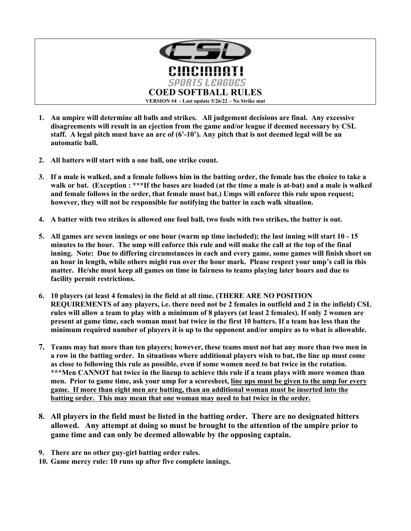

- **1. An umpire will determine all balls and strikes. All judgement decisions are final. Any excessive disagreements will result in an ejection from the game and/or league if deemed necessary by CSL staff. A legal pitch must have an arc of (6'-10'). Any pitch that is not deemed legal will be an automatic ball.**
- **2. All batters will start with a one ball, one strike count.**
- **3. If a male is walked, and a female follows him in the batting order, the female has the choice to take a walk or bat. (Exception : \*\*\*If the bases are loaded (at the time a male is at-bat) and a male is walked and female follows in the order, that female must bat.) Umps will enforce this rule upon request; however, they will not be responsible for notifying the batter in each walk situation.**
- **4. A batter with two strikes is allowed one foul ball, two fouls with two strikes, the batter is out.**
- **5. All games are seven innings or one hour (warm up time included); the last inning will start 10 - 15 minutes to the hour. The ump will enforce this rule and will make the call at the top of the final inning. Note: Due to differing circumstances in each and every game, some games will finish short on an hour in length, while others might run over the hour mark. Please respect your ump's call in this matter. He/she must keep all games on time in fairness to teams playing later hours and due to facility permit restrictions.**
- **6. 10 players (at least 4 females) in the field at all time. (THERE ARE NO POSITION REQUIREMENTS of any players, i.e. there need not be 2 females in outfield and 2 in the infield) CSL rules will allow a team to play with a minimum of 8 players (at least 2 females). If only 2 women are present at game time, each woman must bat twice in the first 10 batters. If a team has less than the minimum required number of players it is up to the opponent and/or umpire as to what is allowable.**
- **7. Teams may bat more than ten players; however, these teams must not bat any more than two men in a row in the batting order. In situations where additional players wish to bat, the line up must come as close to following this rule as possible, even if some women need to bat twice in the rotation. \*\*\*Men CANNOT bat twice in the lineup to achieve this rule if a team plays with more women than men. Prior to game time, ask your ump for a scoresheet, line ups must be given to the ump for every game. If more than eight men are batting, than an additional woman must be inserted into the batting order. This may mean that one woman may need to bat twice in the order.**
- **8. All players in the field must be listed in the batting order. There are no designated hitters allowed. Any attempt at doing so must be brought to the attention of the umpire prior to game time and can only be deemed allowable by the opposing captain.**
- **9. There are no other guy-girl batting order rules.**
- **10. Game mercy rule: 10 runs up after five complete innings.**